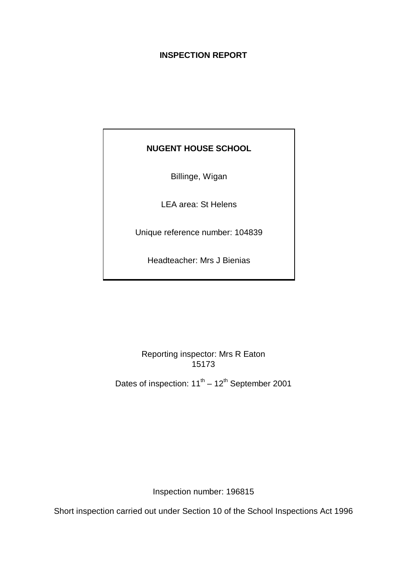## **INSPECTION REPORT**

# **NUGENT HOUSE SCHOOL**

Billinge, Wigan

LEA area: St Helens

Unique reference number: 104839

Headteacher: Mrs J Bienias

Reporting inspector: Mrs R Eaton 15173

Dates of inspection:  $11^{th} - 12^{th}$  September 2001

Inspection number: 196815

Short inspection carried out under Section 10 of the School Inspections Act 1996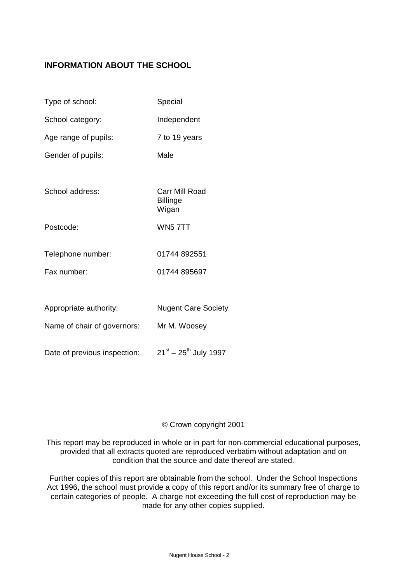# **INFORMATION ABOUT THE SCHOOL**

| Type of school:              | Special                                    |
|------------------------------|--------------------------------------------|
| School category:             | Independent                                |
| Age range of pupils:         | 7 to 19 years                              |
| Gender of pupils:            | Male                                       |
|                              |                                            |
| School address:              | Carr Mill Road<br><b>Billinge</b><br>Wigan |
| Postcode:                    | WN57TT                                     |
| Telephone number:            | 01744 892551                               |
| Fax number:                  | 01744 895697                               |
|                              |                                            |
| Appropriate authority:       | <b>Nugent Care Society</b>                 |
| Name of chair of governors:  | Mr M. Woosey                               |
| Date of previous inspection: | $21^{st} - 25^{th}$ July 1997              |

#### © Crown copyright 2001

This report may be reproduced in whole or in part for non-commercial educational purposes, provided that all extracts quoted are reproduced verbatim without adaptation and on condition that the source and date thereof are stated.

Further copies of this report are obtainable from the school. Under the School Inspections Act 1996, the school must provide a copy of this report and/or its summary free of charge to certain categories of people. A charge not exceeding the full cost of reproduction may be made for any other copies supplied.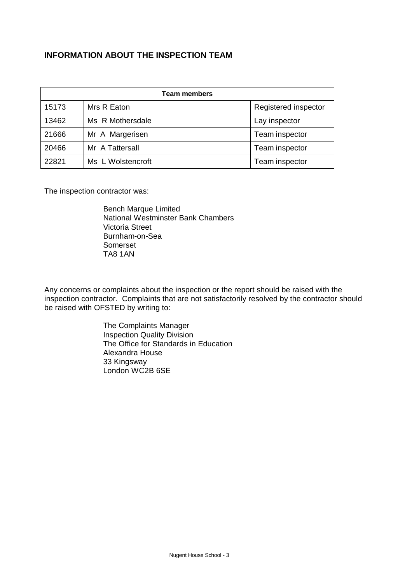## **INFORMATION ABOUT THE INSPECTION TEAM**

| <b>Team members</b> |                   |                      |  |  |
|---------------------|-------------------|----------------------|--|--|
| 15173               | Mrs R Eaton       | Registered inspector |  |  |
| 13462               | Ms R Mothersdale  | Lay inspector        |  |  |
| 21666               | Mr A Margerisen   | Team inspector       |  |  |
| 20466               | Mr A Tattersall   | Team inspector       |  |  |
| 22821               | Ms L Wolstencroft | Team inspector       |  |  |

The inspection contractor was:

Bench Marque Limited National Westminster Bank Chambers Victoria Street Burnham-on-Sea Somerset TA8 1AN

Any concerns or complaints about the inspection or the report should be raised with the inspection contractor. Complaints that are not satisfactorily resolved by the contractor should be raised with OFSTED by writing to:

> The Complaints Manager Inspection Quality Division The Office for Standards in Education Alexandra House 33 Kingsway London WC2B 6SE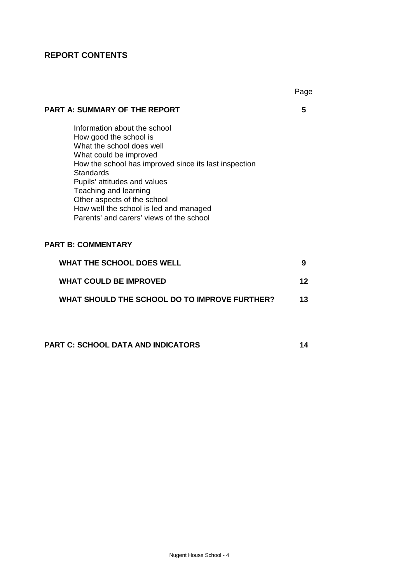# **REPORT CONTENTS**

|                                                                                                                                                                                                                                                                                                                                                                          | Page |
|--------------------------------------------------------------------------------------------------------------------------------------------------------------------------------------------------------------------------------------------------------------------------------------------------------------------------------------------------------------------------|------|
| <b>PART A: SUMMARY OF THE REPORT</b>                                                                                                                                                                                                                                                                                                                                     | 5    |
| Information about the school<br>How good the school is<br>What the school does well<br>What could be improved<br>How the school has improved since its last inspection<br><b>Standards</b><br>Pupils' attitudes and values<br>Teaching and learning<br>Other aspects of the school<br>How well the school is led and managed<br>Parents' and carers' views of the school |      |
| <b>PART B: COMMENTARY</b>                                                                                                                                                                                                                                                                                                                                                |      |
| <b>WHAT THE SCHOOL DOES WELL</b>                                                                                                                                                                                                                                                                                                                                         | 9    |
| <b>WHAT COULD BE IMPROVED</b>                                                                                                                                                                                                                                                                                                                                            | 12   |
| WHAT SHOULD THE SCHOOL DO TO IMPROVE FURTHER?                                                                                                                                                                                                                                                                                                                            | 13   |
|                                                                                                                                                                                                                                                                                                                                                                          |      |

# **PART C: SCHOOL DATA AND INDICATORS 14**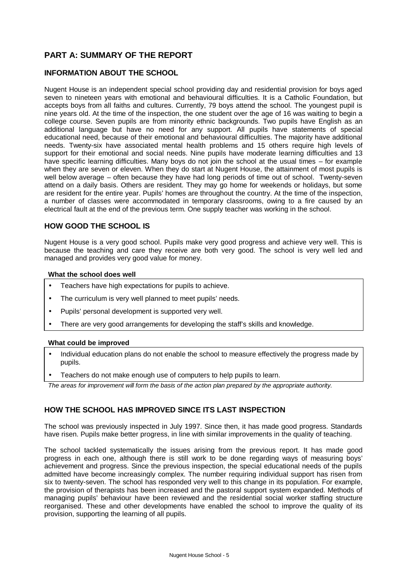## **PART A: SUMMARY OF THE REPORT**

#### **INFORMATION ABOUT THE SCHOOL**

Nugent House is an independent special school providing day and residential provision for boys aged seven to nineteen years with emotional and behavioural difficulties. It is a Catholic Foundation, but accepts boys from all faiths and cultures. Currently, 79 boys attend the school. The youngest pupil is nine years old. At the time of the inspection, the one student over the age of 16 was waiting to begin a college course. Seven pupils are from minority ethnic backgrounds. Two pupils have English as an additional language but have no need for any support. All pupils have statements of special educational need, because of their emotional and behavioural difficulties. The majority have additional needs. Twenty-six have associated mental health problems and 15 others require high levels of support for their emotional and social needs. Nine pupils have moderate learning difficulties and 13 have specific learning difficulties. Many boys do not join the school at the usual times – for example when they are seven or eleven. When they do start at Nugent House, the attainment of most pupils is well below average – often because they have had long periods of time out of school. Twenty-seven attend on a daily basis. Others are resident. They may go home for weekends or holidays, but some are resident for the entire year. Pupils' homes are throughout the country. At the time of the inspection, a number of classes were accommodated in temporary classrooms, owing to a fire caused by an electrical fault at the end of the previous term. One supply teacher was working in the school.

#### **HOW GOOD THE SCHOOL IS**

Nugent House is a very good school. Pupils make very good progress and achieve very well. This is because the teaching and care they receive are both very good. The school is very well led and managed and provides very good value for money.

#### **What the school does well**

- Teachers have high expectations for pupils to achieve.
- The curriculum is very well planned to meet pupils' needs.
- Pupils' personal development is supported very well.
- There are very good arrangements for developing the staff's skills and knowledge.

#### **What could be improved**

- Individual education plans do not enable the school to measure effectively the progress made by pupils.
- Teachers do not make enough use of computers to help pupils to learn.

*The areas for improvement will form the basis of the action plan prepared by the appropriate authority.*

#### **HOW THE SCHOOL HAS IMPROVED SINCE ITS LAST INSPECTION**

The school was previously inspected in July 1997. Since then, it has made good progress. Standards have risen. Pupils make better progress, in line with similar improvements in the quality of teaching.

The school tackled systematically the issues arising from the previous report. It has made good progress in each one, although there is still work to be done regarding ways of measuring boys' achievement and progress. Since the previous inspection, the special educational needs of the pupils admitted have become increasingly complex. The number requiring individual support has risen from six to twenty-seven. The school has responded very well to this change in its population. For example, the provision of therapists has been increased and the pastoral support system expanded. Methods of managing pupils' behaviour have been reviewed and the residential social worker staffing structure reorganised. These and other developments have enabled the school to improve the quality of its provision, supporting the learning of all pupils.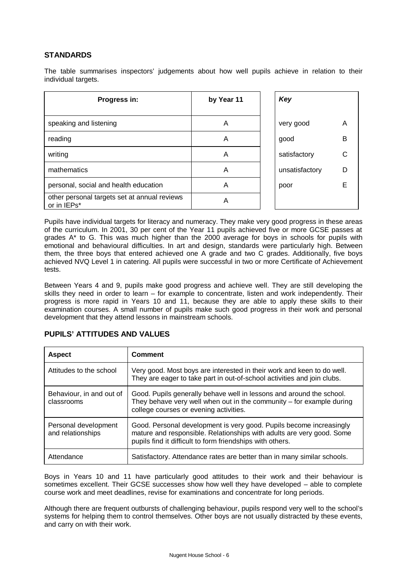## **STANDARDS**

The table summarises inspectors' judgements about how well pupils achieve in relation to their individual targets.

| Progress in:                                                | by Year 11 | Key            |   |
|-------------------------------------------------------------|------------|----------------|---|
| speaking and listening                                      | Α          | very good      | Α |
| reading                                                     | Α          | good           | B |
| writing                                                     | Α          | satisfactory   |   |
| mathematics                                                 | A          | unsatisfactory |   |
| personal, social and health education                       | Α          | poor           |   |
| other personal targets set at annual reviews<br>or in IEPs* | Α          |                |   |

Pupils have individual targets for literacy and numeracy. They make very good progress in these areas of the curriculum. In 2001, 30 per cent of the Year 11 pupils achieved five or more GCSE passes at grades A\* to G. This was much higher than the 2000 average for boys in schools for pupils with emotional and behavioural difficulties. In art and design, standards were particularly high. Between them, the three boys that entered achieved one A grade and two C grades. Additionally, five boys achieved NVQ Level 1 in catering. All pupils were successful in two or more Certificate of Achievement tests.

Between Years 4 and 9, pupils make good progress and achieve well. They are still developing the skills they need in order to learn – for example to concentrate, listen and work independently. Their progress is more rapid in Years 10 and 11, because they are able to apply these skills to their examination courses. A small number of pupils make such good progress in their work and personal development that they attend lessons in mainstream schools.

| <b>Aspect</b>                             | <b>Comment</b>                                                                                                                                                                                            |
|-------------------------------------------|-----------------------------------------------------------------------------------------------------------------------------------------------------------------------------------------------------------|
| Attitudes to the school                   | Very good. Most boys are interested in their work and keen to do well.<br>They are eager to take part in out-of-school activities and join clubs.                                                         |
| Behaviour, in and out of<br>classrooms    | Good. Pupils generally behave well in lessons and around the school.<br>They behave very well when out in the community $-$ for example during<br>college courses or evening activities.                  |
| Personal development<br>and relationships | Good. Personal development is very good. Pupils become increasingly<br>mature and responsible. Relationships with adults are very good. Some<br>pupils find it difficult to form friendships with others. |
| Attendance                                | Satisfactory. Attendance rates are better than in many similar schools.                                                                                                                                   |

#### **PUPILS' ATTITUDES AND VALUES**

Boys in Years 10 and 11 have particularly good attitudes to their work and their behaviour is sometimes excellent. Their GCSE successes show how well they have developed – able to complete course work and meet deadlines, revise for examinations and concentrate for long periods.

Although there are frequent outbursts of challenging behaviour, pupils respond very well to the school's systems for helping them to control themselves. Other boys are not usually distracted by these events, and carry on with their work.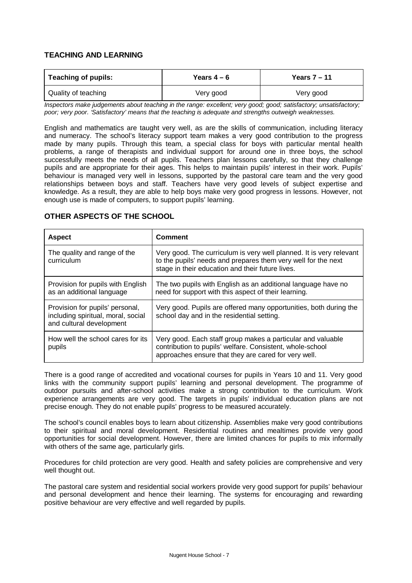## **TEACHING AND LEARNING**

| <b>Teaching of pupils:</b> | Years $4-6$ | Years $7 - 11$ |
|----------------------------|-------------|----------------|
| Quality of teaching        | Very good   | Very good      |

*Inspectors make judgements about teaching in the range: excellent; very good; good; satisfactory; unsatisfactory; poor; very poor. 'Satisfactory' means that the teaching is adequate and strengths outweigh weaknesses.*

English and mathematics are taught very well, as are the skills of communication, including literacy and numeracy. The school's literacy support team makes a very good contribution to the progress made by many pupils. Through this team, a special class for boys with particular mental health problems, a range of therapists and individual support for around one in three boys, the school successfully meets the needs of all pupils. Teachers plan lessons carefully, so that they challenge pupils and are appropriate for their ages. This helps to maintain pupils' interest in their work. Pupils' behaviour is managed very well in lessons, supported by the pastoral care team and the very good relationships between boys and staff. Teachers have very good levels of subject expertise and knowledge. As a result, they are able to help boys make very good progress in lessons. However, not enough use is made of computers, to support pupils' learning.

#### **OTHER ASPECTS OF THE SCHOOL**

| <b>Aspect</b>                                                                                     | <b>Comment</b>                                                                                                                                                                           |
|---------------------------------------------------------------------------------------------------|------------------------------------------------------------------------------------------------------------------------------------------------------------------------------------------|
| The quality and range of the<br>curriculum                                                        | Very good. The curriculum is very well planned. It is very relevant<br>to the pupils' needs and prepares them very well for the next<br>stage in their education and their future lives. |
| Provision for pupils with English<br>as an additional language                                    | The two pupils with English as an additional language have no<br>need for support with this aspect of their learning.                                                                    |
| Provision for pupils' personal,<br>including spiritual, moral, social<br>and cultural development | Very good. Pupils are offered many opportunities, both during the<br>school day and in the residential setting.                                                                          |
| How well the school cares for its<br>pupils                                                       | Very good. Each staff group makes a particular and valuable<br>contribution to pupils' welfare. Consistent, whole-school<br>approaches ensure that they are cared for very well.         |

There is a good range of accredited and vocational courses for pupils in Years 10 and 11. Very good links with the community support pupils' learning and personal development. The programme of outdoor pursuits and after-school activities make a strong contribution to the curriculum. Work experience arrangements are very good. The targets in pupils' individual education plans are not precise enough. They do not enable pupils' progress to be measured accurately.

The school's council enables boys to learn about citizenship. Assemblies make very good contributions to their spiritual and moral development. Residential routines and mealtimes provide very good opportunities for social development. However, there are limited chances for pupils to mix informally with others of the same age, particularly girls.

Procedures for child protection are very good. Health and safety policies are comprehensive and very well thought out.

The pastoral care system and residential social workers provide very good support for pupils' behaviour and personal development and hence their learning. The systems for encouraging and rewarding positive behaviour are very effective and well regarded by pupils.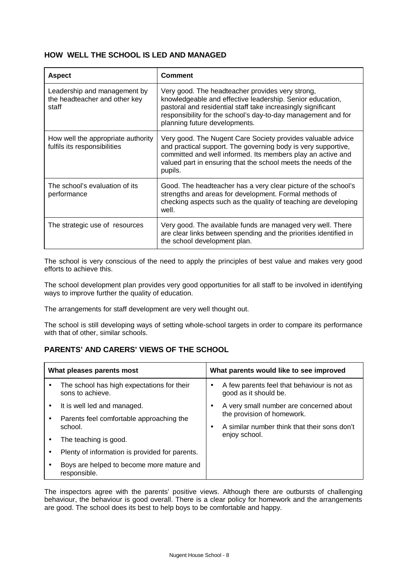#### **HOW WELL THE SCHOOL IS LED AND MANAGED**

| <b>Aspect</b>                                                          | <b>Comment</b>                                                                                                                                                                                                                                                                  |
|------------------------------------------------------------------------|---------------------------------------------------------------------------------------------------------------------------------------------------------------------------------------------------------------------------------------------------------------------------------|
| Leadership and management by<br>the headteacher and other key<br>staff | Very good. The headteacher provides very strong,<br>knowledgeable and effective leadership. Senior education,<br>pastoral and residential staff take increasingly significant<br>responsibility for the school's day-to-day management and for<br>planning future developments. |
| How well the appropriate authority<br>fulfils its responsibilities     | Very good. The Nugent Care Society provides valuable advice<br>and practical support. The governing body is very supportive,<br>committed and well informed. Its members play an active and<br>valued part in ensuring that the school meets the needs of the<br>pupils.        |
| The school's evaluation of its<br>performance                          | Good. The headteacher has a very clear picture of the school's<br>strengths and areas for development. Formal methods of<br>checking aspects such as the quality of teaching are developing<br>well.                                                                            |
| The strategic use of resources                                         | Very good. The available funds are managed very well. There<br>are clear links between spending and the priorities identified in<br>the school development plan.                                                                                                                |

The school is very conscious of the need to apply the principles of best value and makes very good efforts to achieve this.

The school development plan provides very good opportunities for all staff to be involved in identifying ways to improve further the quality of education.

The arrangements for staff development are very well thought out.

The school is still developing ways of setting whole-school targets in order to compare its performance with that of other, similar schools.

## **PARENTS' AND CARERS' VIEWS OF THE SCHOOL**

|                                               | What pleases parents most                                      | What parents would like to see improved                                   |  |  |
|-----------------------------------------------|----------------------------------------------------------------|---------------------------------------------------------------------------|--|--|
|                                               | The school has high expectations for their<br>sons to achieve. | A few parents feel that behaviour is not as<br>٠<br>good as it should be. |  |  |
|                                               | It is well led and managed.                                    | A very small number are concerned about                                   |  |  |
| Parents feel comfortable approaching the<br>٠ | the provision of homework.                                     |                                                                           |  |  |
| school.                                       |                                                                | A similar number think that their sons don't                              |  |  |
| The teaching is good.                         |                                                                | enjoy school.                                                             |  |  |
|                                               | Plenty of information is provided for parents.                 |                                                                           |  |  |
|                                               | Boys are helped to become more mature and<br>responsible.      |                                                                           |  |  |

The inspectors agree with the parents' positive views. Although there are outbursts of challenging behaviour, the behaviour is good overall. There is a clear policy for homework and the arrangements are good. The school does its best to help boys to be comfortable and happy.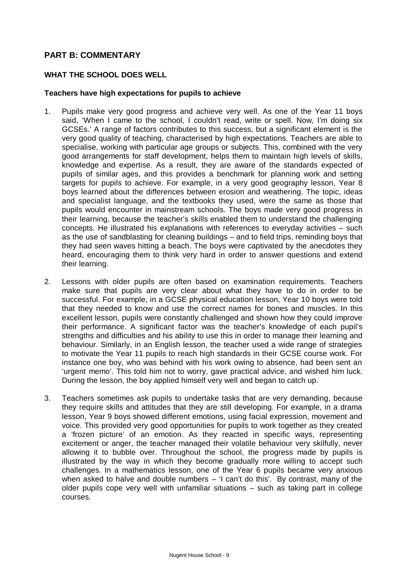## **PART B: COMMENTARY**

#### **WHAT THE SCHOOL DOES WELL**

#### **Teachers have high expectations for pupils to achieve**

- 1. Pupils make very good progress and achieve very well. As one of the Year 11 boys said, 'When I came to the school, I couldn't read, write or spell. Now, I'm doing six GCSEs.' A range of factors contributes to this success, but a significant element is the very good quality of teaching, characterised by high expectations. Teachers are able to specialise, working with particular age groups or subjects. This, combined with the very good arrangements for staff development, helps them to maintain high levels of skills, knowledge and expertise. As a result, they are aware of the standards expected of pupils of similar ages, and this provides a benchmark for planning work and setting targets for pupils to achieve. For example, in a very good geography lesson, Year 8 boys learned about the differences between erosion and weathering. The topic, ideas and specialist language, and the textbooks they used, were the same as those that pupils would encounter in mainstream schools. The boys made very good progress in their learning, because the teacher's skills enabled them to understand the challenging concepts. He illustrated his explanations with references to everyday activities – such as the use of sandblasting for cleaning buildings – and to field trips, reminding boys that they had seen waves hitting a beach. The boys were captivated by the anecdotes they heard, encouraging them to think very hard in order to answer questions and extend their learning.
- 2. Lessons with older pupils are often based on examination requirements. Teachers make sure that pupils are very clear about what they have to do in order to be successful. For example, in a GCSE physical education lesson, Year 10 boys were told that they needed to know and use the correct names for bones and muscles. In this excellent lesson, pupils were constantly challenged and shown how they could improve their performance. A significant factor was the teacher's knowledge of each pupil's strengths and difficulties and his ability to use this in order to manage their learning and behaviour. Similarly, in an English lesson, the teacher used a wide range of strategies to motivate the Year 11 pupils to reach high standards in their GCSE course work. For instance one boy, who was behind with his work owing to absence, had been sent an 'urgent memo'. This told him not to worry, gave practical advice, and wished him luck. During the lesson, the boy applied himself very well and began to catch up.
- 3. Teachers sometimes ask pupils to undertake tasks that are very demanding, because they require skills and attitudes that they are still developing. For example, in a drama lesson, Year 9 boys showed different emotions, using facial expression, movement and voice. This provided very good opportunities for pupils to work together as they created a 'frozen picture' of an emotion. As they reacted in specific ways, representing excitement or anger, the teacher managed their volatile behaviour very skilfully, never allowing it to bubble over. Throughout the school, the progress made by pupils is illustrated by the way in which they become gradually more willing to accept such challenges. In a mathematics lesson, one of the Year 6 pupils became very anxious when asked to halve and double numbers – 'I can't do this'. By contrast, many of the older pupils cope very well with unfamiliar situations – such as taking part in college courses.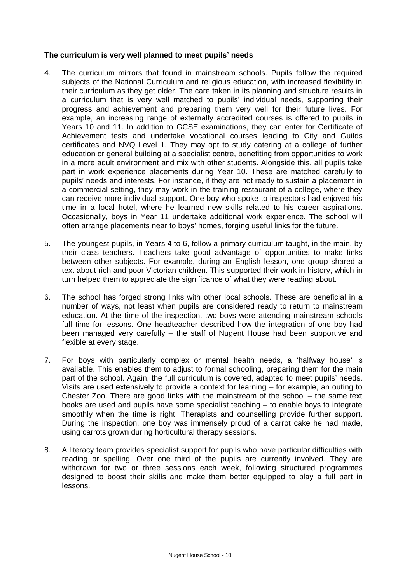#### **The curriculum is very well planned to meet pupils' needs**

- 4. The curriculum mirrors that found in mainstream schools. Pupils follow the required subjects of the National Curriculum and religious education, with increased flexibility in their curriculum as they get older. The care taken in its planning and structure results in a curriculum that is very well matched to pupils' individual needs, supporting their progress and achievement and preparing them very well for their future lives. For example, an increasing range of externally accredited courses is offered to pupils in Years 10 and 11. In addition to GCSE examinations, they can enter for Certificate of Achievement tests and undertake vocational courses leading to City and Guilds certificates and NVQ Level 1. They may opt to study catering at a college of further education or general building at a specialist centre, benefiting from opportunities to work in a more adult environment and mix with other students. Alongside this, all pupils take part in work experience placements during Year 10. These are matched carefully to pupils' needs and interests. For instance, if they are not ready to sustain a placement in a commercial setting, they may work in the training restaurant of a college, where they can receive more individual support. One boy who spoke to inspectors had enjoyed his time in a local hotel, where he learned new skills related to his career aspirations. Occasionally, boys in Year 11 undertake additional work experience. The school will often arrange placements near to boys' homes, forging useful links for the future.
- 5. The youngest pupils, in Years 4 to 6, follow a primary curriculum taught, in the main, by their class teachers. Teachers take good advantage of opportunities to make links between other subjects. For example, during an English lesson, one group shared a text about rich and poor Victorian children. This supported their work in history, which in turn helped them to appreciate the significance of what they were reading about.
- 6. The school has forged strong links with other local schools. These are beneficial in a number of ways, not least when pupils are considered ready to return to mainstream education. At the time of the inspection, two boys were attending mainstream schools full time for lessons. One headteacher described how the integration of one boy had been managed very carefully – the staff of Nugent House had been supportive and flexible at every stage.
- 7. For boys with particularly complex or mental health needs, a 'halfway house' is available. This enables them to adjust to formal schooling, preparing them for the main part of the school. Again, the full curriculum is covered, adapted to meet pupils' needs. Visits are used extensively to provide a context for learning – for example, an outing to Chester Zoo. There are good links with the mainstream of the school – the same text books are used and pupils have some specialist teaching – to enable boys to integrate smoothly when the time is right. Therapists and counselling provide further support. During the inspection, one boy was immensely proud of a carrot cake he had made, using carrots grown during horticultural therapy sessions.
- 8. A literacy team provides specialist support for pupils who have particular difficulties with reading or spelling. Over one third of the pupils are currently involved. They are withdrawn for two or three sessions each week, following structured programmes designed to boost their skills and make them better equipped to play a full part in lessons.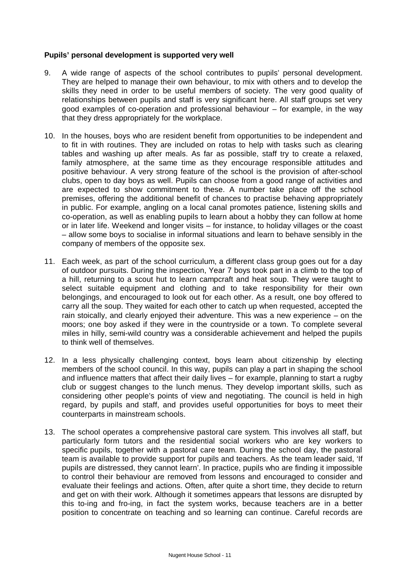#### **Pupils' personal development is supported very well**

- 9. A wide range of aspects of the school contributes to pupils' personal development. They are helped to manage their own behaviour, to mix with others and to develop the skills they need in order to be useful members of society. The very good quality of relationships between pupils and staff is very significant here. All staff groups set very good examples of co-operation and professional behaviour – for example, in the way that they dress appropriately for the workplace.
- 10. In the houses, boys who are resident benefit from opportunities to be independent and to fit in with routines. They are included on rotas to help with tasks such as clearing tables and washing up after meals. As far as possible, staff try to create a relaxed, family atmosphere, at the same time as they encourage responsible attitudes and positive behaviour. A very strong feature of the school is the provision of after-school clubs, open to day boys as well. Pupils can choose from a good range of activities and are expected to show commitment to these. A number take place off the school premises, offering the additional benefit of chances to practise behaving appropriately in public. For example, angling on a local canal promotes patience, listening skills and co-operation, as well as enabling pupils to learn about a hobby they can follow at home or in later life. Weekend and longer visits – for instance, to holiday villages or the coast – allow some boys to socialise in informal situations and learn to behave sensibly in the company of members of the opposite sex.
- 11. Each week, as part of the school curriculum, a different class group goes out for a day of outdoor pursuits. During the inspection, Year 7 boys took part in a climb to the top of a hill, returning to a scout hut to learn campcraft and heat soup. They were taught to select suitable equipment and clothing and to take responsibility for their own belongings, and encouraged to look out for each other. As a result, one boy offered to carry all the soup. They waited for each other to catch up when requested, accepted the rain stoically, and clearly enjoyed their adventure. This was a new experience – on the moors; one boy asked if they were in the countryside or a town. To complete several miles in hilly, semi-wild country was a considerable achievement and helped the pupils to think well of themselves.
- 12. In a less physically challenging context, boys learn about citizenship by electing members of the school council. In this way, pupils can play a part in shaping the school and influence matters that affect their daily lives – for example, planning to start a rugby club or suggest changes to the lunch menus. They develop important skills, such as considering other people's points of view and negotiating. The council is held in high regard, by pupils and staff, and provides useful opportunities for boys to meet their counterparts in mainstream schools.
- 13. The school operates a comprehensive pastoral care system. This involves all staff, but particularly form tutors and the residential social workers who are key workers to specific pupils, together with a pastoral care team. During the school day, the pastoral team is available to provide support for pupils and teachers. As the team leader said, 'If pupils are distressed, they cannot learn'. In practice, pupils who are finding it impossible to control their behaviour are removed from lessons and encouraged to consider and evaluate their feelings and actions. Often, after quite a short time, they decide to return and get on with their work. Although it sometimes appears that lessons are disrupted by this to-ing and fro-ing, in fact the system works, because teachers are in a better position to concentrate on teaching and so learning can continue. Careful records are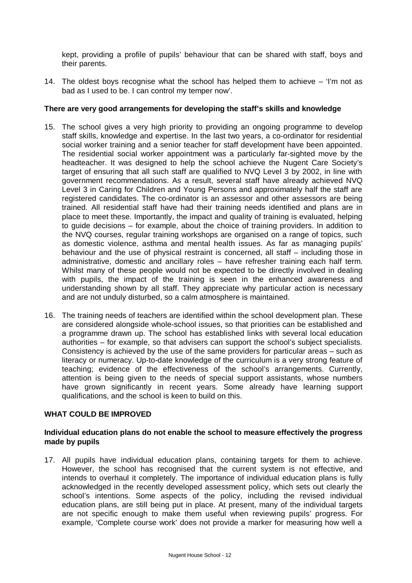kept, providing a profile of pupils' behaviour that can be shared with staff, boys and their parents.

14. The oldest boys recognise what the school has helped them to achieve – 'I'm not as bad as I used to be. I can control my temper now'.

#### **There are very good arrangements for developing the staff's skills and knowledge**

- 15. The school gives a very high priority to providing an ongoing programme to develop staff skills, knowledge and expertise. In the last two years, a co-ordinator for residential social worker training and a senior teacher for staff development have been appointed. The residential social worker appointment was a particularly far-sighted move by the headteacher. It was designed to help the school achieve the Nugent Care Society's target of ensuring that all such staff are qualified to NVQ Level 3 by 2002, in line with government recommendations. As a result, several staff have already achieved NVQ Level 3 in Caring for Children and Young Persons and approximately half the staff are registered candidates. The co-ordinator is an assessor and other assessors are being trained. All residential staff have had their training needs identified and plans are in place to meet these. Importantly, the impact and quality of training is evaluated, helping to guide decisions – for example, about the choice of training providers. In addition to the NVQ courses, regular training workshops are organised on a range of topics, such as domestic violence, asthma and mental health issues. As far as managing pupils' behaviour and the use of physical restraint is concerned, all staff – including those in administrative, domestic and ancillary roles – have refresher training each half term. Whilst many of these people would not be expected to be directly involved in dealing with pupils, the impact of the training is seen in the enhanced awareness and understanding shown by all staff. They appreciate why particular action is necessary and are not unduly disturbed, so a calm atmosphere is maintained.
- 16. The training needs of teachers are identified within the school development plan. These are considered alongside whole-school issues, so that priorities can be established and a programme drawn up. The school has established links with several local education authorities – for example, so that advisers can support the school's subject specialists. Consistency is achieved by the use of the same providers for particular areas – such as literacy or numeracy. Up-to-date knowledge of the curriculum is a very strong feature of teaching; evidence of the effectiveness of the school's arrangements. Currently, attention is being given to the needs of special support assistants, whose numbers have grown significantly in recent years. Some already have learning support qualifications, and the school is keen to build on this.

#### **WHAT COULD BE IMPROVED**

#### **Individual education plans do not enable the school to measure effectively the progress made by pupils**

17. All pupils have individual education plans, containing targets for them to achieve. However, the school has recognised that the current system is not effective, and intends to overhaul it completely. The importance of individual education plans is fully acknowledged in the recently developed assessment policy, which sets out clearly the school's intentions. Some aspects of the policy, including the revised individual education plans, are still being put in place. At present, many of the individual targets are not specific enough to make them useful when reviewing pupils' progress. For example, 'Complete course work' does not provide a marker for measuring how well a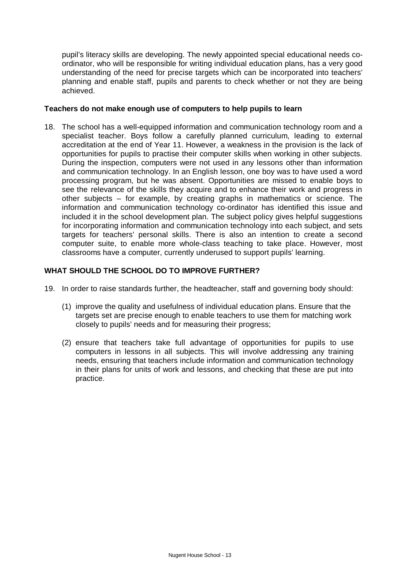pupil's literacy skills are developing. The newly appointed special educational needs coordinator, who will be responsible for writing individual education plans, has a very good understanding of the need for precise targets which can be incorporated into teachers' planning and enable staff, pupils and parents to check whether or not they are being achieved.

#### **Teachers do not make enough use of computers to help pupils to learn**

18. The school has a well-equipped information and communication technology room and a specialist teacher. Boys follow a carefully planned curriculum, leading to external accreditation at the end of Year 11. However, a weakness in the provision is the lack of opportunities for pupils to practise their computer skills when working in other subjects. During the inspection, computers were not used in any lessons other than information and communication technology. In an English lesson, one boy was to have used a word processing program, but he was absent. Opportunities are missed to enable boys to see the relevance of the skills they acquire and to enhance their work and progress in other subjects – for example, by creating graphs in mathematics or science. The information and communication technology co-ordinator has identified this issue and included it in the school development plan. The subject policy gives helpful suggestions for incorporating information and communication technology into each subject, and sets targets for teachers' personal skills. There is also an intention to create a second computer suite, to enable more whole-class teaching to take place. However, most classrooms have a computer, currently underused to support pupils' learning.

## **WHAT SHOULD THE SCHOOL DO TO IMPROVE FURTHER?**

- 19. In order to raise standards further, the headteacher, staff and governing body should:
	- (1) improve the quality and usefulness of individual education plans. Ensure that the targets set are precise enough to enable teachers to use them for matching work closely to pupils' needs and for measuring their progress;
	- (2) ensure that teachers take full advantage of opportunities for pupils to use computers in lessons in all subjects. This will involve addressing any training needs, ensuring that teachers include information and communication technology in their plans for units of work and lessons, and checking that these are put into practice.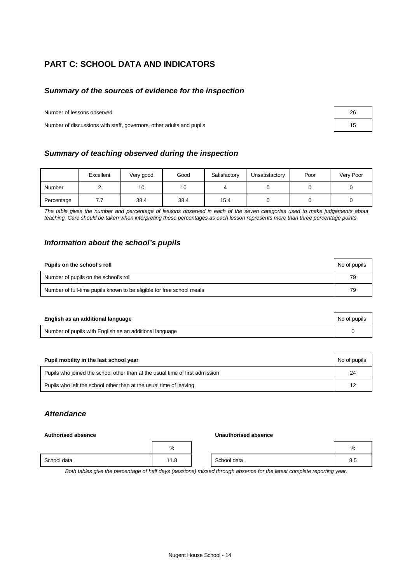## **PART C: SCHOOL DATA AND INDICATORS**

#### *Summary of the sources of evidence for the inspection*

Number of lessons observed

Number of discussions with staff, governors, other adults and pupils 15

|            | Excellent        | Very good | Good | Satisfactory | Unsatisfactory | Poor | Very Poor |
|------------|------------------|-----------|------|--------------|----------------|------|-----------|
| Number     |                  | 10        | 10   |              |                |      |           |
| Percentage | $\overline{1}$ . | 38.4      | 38.4 | 15.4         |                |      |           |

*The table gives the number and percentage of lessons observed in each of the seven categories used to make judgements about teaching. Care should be taken when interpreting these percentages as each lesson represents more than three percentage points.* 

#### *Information about the school's pupils*

| Pupils on the school's roll                                           | No of pupils |
|-----------------------------------------------------------------------|--------------|
| Number of pupils on the school's roll                                 | 79           |
| Number of full-time pupils known to be eligible for free school meals | 79           |

| English as an additional language                       | No of pupils |
|---------------------------------------------------------|--------------|
| Number of pupils with English as an additional language |              |

| Pupil mobility in the last school year                                       | No of pupils |
|------------------------------------------------------------------------------|--------------|
| Pupils who joined the school other than at the usual time of first admission | 24           |
| Pupils who left the school other than at the usual time of leaving           | 12           |

#### *Attendance*

#### **Authorised absence Unauthorised absence**

|             | %    |             | %             |
|-------------|------|-------------|---------------|
| School data | 11.8 | School data | $\sim$<br>o.o |

*Both tables give the percentage of half days (sessions) missed through absence for the latest complete reporting year.*

| Nugent House School - 14 |  |
|--------------------------|--|
|                          |  |

| 26 |  |
|----|--|
| 15 |  |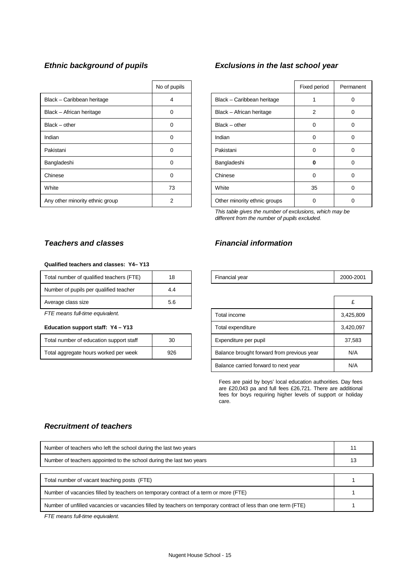|                                 | No of pupils |                              | Fixed period   | Perma    |
|---------------------------------|--------------|------------------------------|----------------|----------|
| Black - Caribbean heritage      | 4            | Black - Caribbean heritage   |                | 0        |
| Black - African heritage        | 0            | Black - African heritage     | $\overline{2}$ | 0        |
| $Black - other$                 | $\Omega$     | $Black - other$              | $\Omega$       | 0        |
| Indian                          | 0            | Indian                       | 0              | 0        |
| Pakistani                       | 0            | Pakistani                    | $\Omega$       | $\Omega$ |
| Bangladeshi                     | $\Omega$     | Bangladeshi                  | o              | 0        |
| Chinese                         | $\Omega$     | Chinese                      | $\Omega$       | 0        |
| White                           | 73           | White                        | 35             | 0        |
| Any other minority ethnic group | 2            | Other minority ethnic groups | O              | 0        |

## *Ethnic background of pupils Exclusions in the last school year*

| No of pupils |                              | Fixed period   | Permanent |
|--------------|------------------------------|----------------|-----------|
| 4            | Black - Caribbean heritage   |                | O         |
| 0            | Black - African heritage     | $\overline{2}$ | 0         |
| U            | $Black - other$              | 0              | 0         |
| ∩            | Indian                       | 0              | 0         |
| $\Omega$     | Pakistani                    | 0              | 0         |
| U            | Bangladeshi                  | 0              | 0         |
| U            | Chinese                      | $\Omega$       | 0         |
| 73           | White                        | 35             | 0         |
| 2            | Other minority ethnic groups |                | 0         |

*This table gives the number of exclusions, which may be different from the number of pupils excluded.*

## *Teachers and classes Financial information*

|                                            | £         |
|--------------------------------------------|-----------|
| Total income                               | 3,425,809 |
| Total expenditure                          | 3,420,097 |
| Expenditure per pupil                      | 37,583    |
| Balance brought forward from previous year | N/A       |
| Balance carried forward to next year       | N/A       |

Fees are paid by boys' local education authorities. Day fees are £20,043 pa and full fees £26,721. There are additional fees for boys requiring higher levels of support or holiday care.

#### *Recruitment of teachers*

**Qualified teachers and classes: Y4– Y13**

*FTE means full-time equivalent.* 

Education support staff: Y4 - Y13

Total number of qualified teachers (FTE) | 18 Number of pupils per qualified teacher 14.4 Average class size 5.6

Total number of education support staff 1530 Total aggregate hours worked per week 926

| Number of teachers who left the school during the last two years                                               | 11 |
|----------------------------------------------------------------------------------------------------------------|----|
| Number of teachers appointed to the school during the last two years                                           |    |
|                                                                                                                |    |
| Total number of vacant teaching posts (FTE)                                                                    |    |
| Number of vacancies filled by teachers on temporary contract of a term or more (FTE)                           |    |
| Number of unfilled vacancies or vacancies filled by teachers on temporary contract of less than one term (FTE) |    |

*FTE means full-time equivalent.*